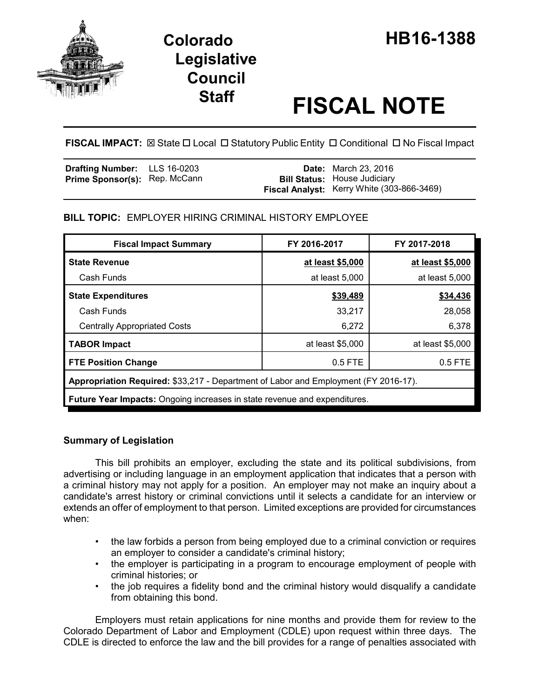

# **Legislative Council**

# **Staff FISCAL NOTE**

**FISCAL IMPACT:**  $\boxtimes$  **State □ Local □ Statutory Public Entity □ Conditional □ No Fiscal Impact** 

| <b>Drafting Number:</b> LLS 16-0203  |  | <b>Date:</b> March 23, 2016                |
|--------------------------------------|--|--------------------------------------------|
| <b>Prime Sponsor(s): Rep. McCann</b> |  | <b>Bill Status: House Judiciary</b>        |
|                                      |  | Fiscal Analyst: Kerry White (303-866-3469) |

## **BILL TOPIC:** EMPLOYER HIRING CRIMINAL HISTORY EMPLOYEE

| <b>Fiscal Impact Summary</b>                                                        | FY 2016-2017     | FY 2017-2018     |  |  |  |
|-------------------------------------------------------------------------------------|------------------|------------------|--|--|--|
| <b>State Revenue</b>                                                                | at least \$5,000 | at least \$5,000 |  |  |  |
| Cash Funds                                                                          | at least 5,000   | at least 5,000   |  |  |  |
| <b>State Expenditures</b>                                                           | \$39,489         | \$34,436         |  |  |  |
| Cash Funds                                                                          | 33,217           | 28,058           |  |  |  |
| <b>Centrally Appropriated Costs</b>                                                 | 6,272            | 6,378            |  |  |  |
| <b>TABOR Impact</b>                                                                 | at least \$5,000 | at least \$5,000 |  |  |  |
| <b>FTE Position Change</b>                                                          | 0.5 FTE          | $0.5$ FTE        |  |  |  |
| Appropriation Required: \$33,217 - Department of Labor and Employment (FY 2016-17). |                  |                  |  |  |  |
| <b>Future Year Impacts:</b> Ongoing increases in state revenue and expenditures.    |                  |                  |  |  |  |

### **Summary of Legislation**

This bill prohibits an employer, excluding the state and its political subdivisions, from advertising or including language in an employment application that indicates that a person with a criminal history may not apply for a position. An employer may not make an inquiry about a candidate's arrest history or criminal convictions until it selects a candidate for an interview or extends an offer of employment to that person. Limited exceptions are provided for circumstances when:

- the law forbids a person from being employed due to a criminal conviction or requires an employer to consider a candidate's criminal history;
- the employer is participating in a program to encourage employment of people with criminal histories; or
- the job requires a fidelity bond and the criminal history would disqualify a candidate from obtaining this bond.

Employers must retain applications for nine months and provide them for review to the Colorado Department of Labor and Employment (CDLE) upon request within three days. The CDLE is directed to enforce the law and the bill provides for a range of penalties associated with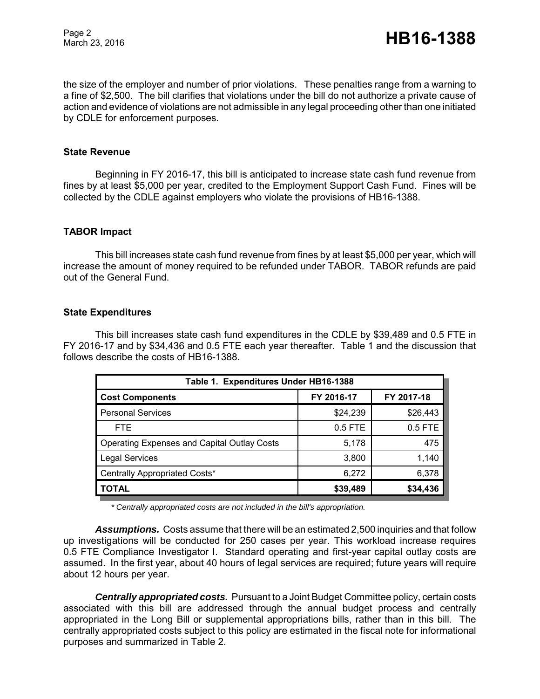Page 2

the size of the employer and number of prior violations. These penalties range from a warning to a fine of \$2,500. The bill clarifies that violations under the bill do not authorize a private cause of action and evidence of violations are not admissible in any legal proceeding other than one initiated by CDLE for enforcement purposes.

#### **State Revenue**

Beginning in FY 2016-17, this bill is anticipated to increase state cash fund revenue from fines by at least \$5,000 per year, credited to the Employment Support Cash Fund. Fines will be collected by the CDLE against employers who violate the provisions of HB16-1388.

#### **TABOR Impact**

This bill increases state cash fund revenue from fines by at least \$5,000 per year, which will increase the amount of money required to be refunded under TABOR. TABOR refunds are paid out of the General Fund.

#### **State Expenditures**

This bill increases state cash fund expenditures in the CDLE by \$39,489 and 0.5 FTE in FY 2016-17 and by \$34,436 and 0.5 FTE each year thereafter. Table 1 and the discussion that follows describe the costs of HB16-1388.

| Table 1. Expenditures Under HB16-1388              |            |            |  |  |  |
|----------------------------------------------------|------------|------------|--|--|--|
| <b>Cost Components</b>                             | FY 2016-17 | FY 2017-18 |  |  |  |
| <b>Personal Services</b>                           | \$24,239   | \$26,443   |  |  |  |
| <b>FTE</b>                                         | $0.5$ FTE  | 0.5 FTE    |  |  |  |
| <b>Operating Expenses and Capital Outlay Costs</b> | 5,178      | 475        |  |  |  |
| <b>Legal Services</b>                              | 3,800      | 1,140      |  |  |  |
| Centrally Appropriated Costs*                      | 6,272      | 6,378      |  |  |  |
| <b>TOTAL</b>                                       | \$39,489   | \$34,436   |  |  |  |

*\* Centrally appropriated costs are not included in the bill's appropriation.*

*Assumptions.* Costs assume that there will be an estimated 2,500 inquiries and that follow up investigations will be conducted for 250 cases per year. This workload increase requires 0.5 FTE Compliance Investigator I. Standard operating and first-year capital outlay costs are assumed. In the first year, about 40 hours of legal services are required; future years will require about 12 hours per year.

*Centrally appropriated costs.* Pursuant to a Joint Budget Committee policy, certain costs associated with this bill are addressed through the annual budget process and centrally appropriated in the Long Bill or supplemental appropriations bills, rather than in this bill. The centrally appropriated costs subject to this policy are estimated in the fiscal note for informational purposes and summarized in Table 2.